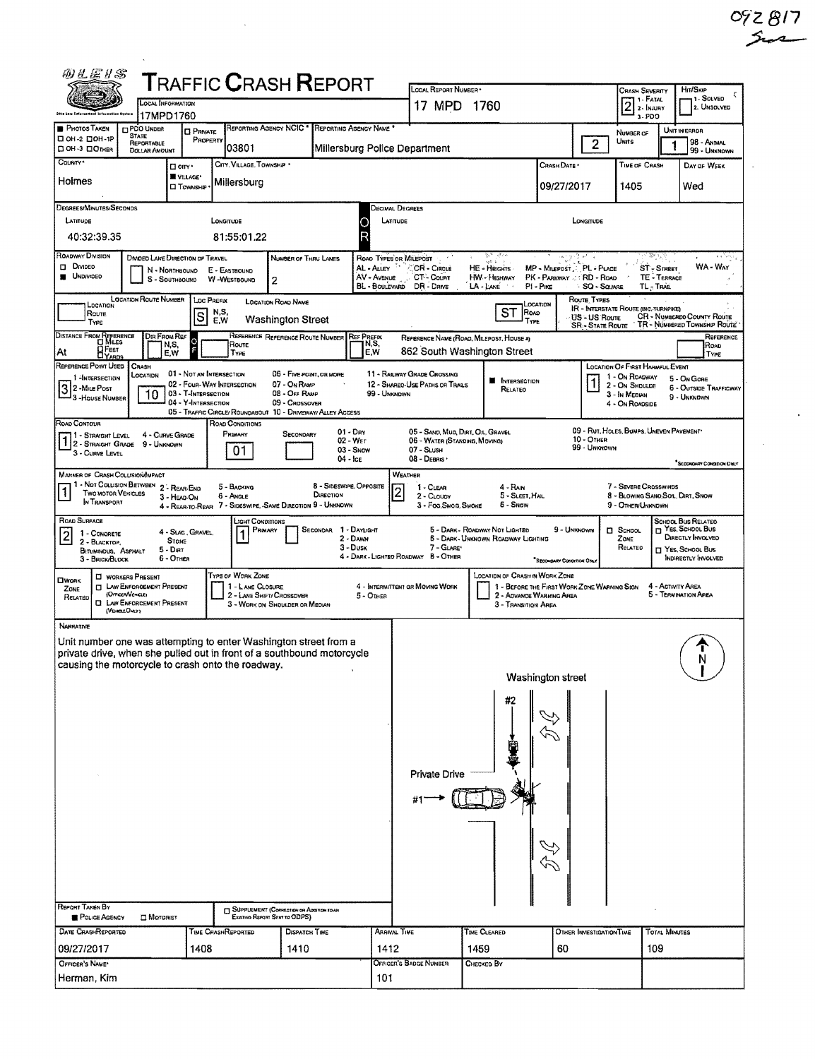| 的比运り名                                                                                                                       |                                                           |                              | ${\sf T}$ RAFFIC ${\sf C}$ RASH ${\sf R}$ EPORT                         |                                                                                    |                         |                                      |                                                    |                                                                             |                                                                         |                                          |                                                        |                               |                                                            |
|-----------------------------------------------------------------------------------------------------------------------------|-----------------------------------------------------------|------------------------------|-------------------------------------------------------------------------|------------------------------------------------------------------------------------|-------------------------|--------------------------------------|----------------------------------------------------|-----------------------------------------------------------------------------|-------------------------------------------------------------------------|------------------------------------------|--------------------------------------------------------|-------------------------------|------------------------------------------------------------|
|                                                                                                                             | <b>LOCAL INFORMATION</b>                                  |                              |                                                                         |                                                                                    |                         |                                      | LOCAL REPORT NUMBER .<br>17 MPD                    | 1760                                                                        |                                                                         |                                          | <b>CRASH SEVERITY</b><br>$21. FATAL$<br>2. INJURY      |                               | Hm/SKIP<br>1 - SOLVED<br>2. UNSOLVED                       |
| Does Low Enterprise                                                                                                         | 17MPD1760                                                 |                              |                                                                         |                                                                                    |                         |                                      |                                                    |                                                                             |                                                                         |                                          | 3.700                                                  |                               |                                                            |
| <b>PHOTOS TAKEN</b><br>П ОН-2 ПОН-1Р                                                                                        | <b>CIPDO UNDER</b><br><b>STATE</b><br>REPORTABLE          | <b>D</b> PRIVATE<br>PROPERTY |                                                                         | REPORTING AGENCY NCIC *                                                            |                         | REPORTING AGENCY NAME *              |                                                    |                                                                             |                                                                         | $\overline{2}$                           | NUMBER OF<br>Units                                     |                               | UNIT IN ERROR<br>98 - ANMAL                                |
| DOH-3 DOTHER<br>County *                                                                                                    | <b>DOLLAR AMOUNT</b>                                      |                              | 03801                                                                   |                                                                                    |                         |                                      | Millersburg Police Department                      |                                                                             |                                                                         |                                          |                                                        |                               | 99 - UNKNOWN                                               |
|                                                                                                                             | □ cm·                                                     | VILLAGE*                     | CITY, VILLAGE, TOWNSHIP .                                               |                                                                                    |                         |                                      |                                                    |                                                                             | CRASH DATE                                                              |                                          | TIME OF CRASH                                          |                               | DAY OF WEEK                                                |
| Holmes                                                                                                                      |                                                           | <b>CI TOWNSHIP</b>           | Millersburg                                                             |                                                                                    |                         |                                      |                                                    |                                                                             | 09/27/2017                                                              |                                          | 1405                                                   |                               | Wed                                                        |
| DECREES/MINUTES/SECONDS                                                                                                     |                                                           |                              |                                                                         |                                                                                    |                         |                                      | Decimal Degrees                                    |                                                                             |                                                                         |                                          |                                                        |                               |                                                            |
| LATITUDE                                                                                                                    |                                                           |                              | <b>LONGITUDE</b>                                                        |                                                                                    |                         | LATITUDE<br>Ο<br>D                   |                                                    |                                                                             |                                                                         | LONGITUDE                                |                                                        |                               |                                                            |
| 40:32:39.35                                                                                                                 |                                                           |                              | 81:55:01.22                                                             |                                                                                    |                         |                                      |                                                    |                                                                             |                                                                         |                                          |                                                        |                               |                                                            |
| ROADWAY DIVISION<br><b>D</b> Divideo                                                                                        | <b>DIVIDED LANE DIRECTION OF TRAVEL</b><br>N - NORTHBOUND |                              | E - EASTBOUND                                                           | NUMBER OF THRU LANES                                                               |                         | ROAD TYPES OR MILEPOST<br>AL - ALLEY | CR - Cincue                                        | مقاور<br>HE - Heights                                                       | 15,21<br>MP - MILEPOST PL - PLACE                                       |                                          |                                                        | 36 L<br>ST-SIREET             | a k <sup>1</sup> ym)<br>WA-WAY                             |
| <b>UNDIVIDED</b>                                                                                                            | S - SOUTHBOUND                                            |                              | W-WESTBOUND                                                             | 2                                                                                  |                         | AV - AVENUE<br>BL - BOULEVARD        | CT-Count<br>DR - DRME                              | <b>HW-HIGHWAY</b><br>LA - LANE                                              | PK - PARKWAY - RD - ROAD<br>$PI - P_{HCE}$                              | SQ - SQUARE                              |                                                        | <b>TE-TERRACE</b><br>TL-TRAIL |                                                            |
| LOCATION                                                                                                                    | <b>LOCATION ROUTE NUMBER</b>                              | <b>LOC PREFIX</b>            |                                                                         | <b>LOCATION ROAD NAME</b>                                                          |                         |                                      |                                                    |                                                                             | LOCATION                                                                | ROUTE TYPES                              |                                                        |                               |                                                            |
| ROUTE<br>TYPE                                                                                                               |                                                           | lS                           | N,S,<br>E,W                                                             | <b>Washington Street</b>                                                           |                         |                                      |                                                    | ST ROAD<br>TYPE                                                             |                                                                         | US - US Route<br><b>SR - State Route</b> | <b>IR - INTERSTATE ROUTE (INC. TURNPIKE)</b>           |                               | CR - NUMBEREO COUNTY ROUTE<br>TR - NUMBERED TOWNSHIP ROUTE |
| DISTANCE FROM REFERENCE                                                                                                     | <b>DIR FROM REF</b>                                       |                              |                                                                         | REFERENCE REFERENCE ROUTE NUMBER                                                   |                         | <b>REF PREFIX</b><br>N,S,            |                                                    | REFERENCE NAME (ROAD, MILEPOST, HOUSE 2)                                    |                                                                         |                                          |                                                        |                               | REFERENCE                                                  |
| <b>DFEET</b><br>Αt                                                                                                          | N,S,<br>E,W                                               |                              | Route<br>TYPE                                                           |                                                                                    |                         | E.W                                  |                                                    | 862 South Washington Street                                                 |                                                                         |                                          |                                                        |                               | Road<br>TYPE                                               |
| REFERENCE POINT USED<br>1-INTERSECTION                                                                                      | CRASH<br>LOCATION                                         |                              | 01 - NOT AN INTERSECTION                                                | 06 - FIVE-POINT, OR MORE                                                           |                         |                                      | <b>11 - RAILWAY GRADE CROSSING</b>                 | ۰                                                                           |                                                                         |                                          | LOCATION OF FIRST HARMFUL EVENT<br>1 - On ROADWAY      |                               | 5 - On GORE                                                |
| 32 - Mile Post<br>3 - HOUSE NUMBER                                                                                          | 10                                                        | 03 - T-INTERSECTION          | 02 - FOUR-WAY INTERSECTION                                              | 07 - On RAMP<br>08 - Off RAMP                                                      |                         | 99 - UNKNOWN                         | 12 - SHARED-USE PATHS OR TRAILS                    | INTERSECTION<br>RELATEO                                                     |                                                                         | 1                                        | 2 - On Shoulde<br>3 - In Median                        |                               | <b>6 - OUTSIDE TRAFFICWAY</b><br>9 - UNKNDWN               |
|                                                                                                                             |                                                           | 04 - Y-INTERSECTION          | 05 - TRAFFIC CIRCLE/ ROUNDABOUT 10 - DRIVEWAY/ ALLEY ACCESS             | 09 - Crossover                                                                     |                         |                                      |                                                    |                                                                             |                                                                         |                                          | 4 - ON ROADSIDE                                        |                               |                                                            |
| ROAD CONTOUR                                                                                                                | 4 - CURVE GRADE                                           |                              | ROAD CONDITIONS<br>PRIMARY                                              | SECONDARY                                                                          |                         | $01 - Dev$                           | 05 - SAND, MUD, DIRT, OIL, GRAVEL                  |                                                                             |                                                                         |                                          | 09 - RUT, HOLES, BUMPS, UNEVEN PAVEMENT                |                               |                                                            |
| 1 - STRAIGHT LEVEL<br>1 2 - STRAIGHT LEVEL                                                                                  | 9 - Unknown                                               |                              | 01.                                                                     |                                                                                    |                         | 02 WFT<br>03 - Snow                  | 06 - WATER (STANDING, MOVING)<br>07 - SLUSH        |                                                                             |                                                                         | 10 - OTHER<br>99 - UNKNOWN               |                                                        |                               |                                                            |
| 3 - CURVE LEVEL                                                                                                             |                                                           |                              |                                                                         |                                                                                    | 04 - Ice                |                                      | $08 - Deses$                                       |                                                                             |                                                                         |                                          |                                                        |                               | SECONDARY CONDITION DISLY                                  |
| MARKER OF CRASH COLUSION/MPACT<br>- NOT COLLISION BETWEEN                                                                   | 2 - REAR-END                                              |                              | 5 - BACKING                                                             |                                                                                    | 8 - SIDESWIPE, OPPOSITE |                                      | WEATHER<br>$1 - C$ LEAR                            | $4 - R$ AIN                                                                 |                                                                         |                                          | 7 - Sevene Crosswinds                                  |                               |                                                            |
| 1<br>TWO MOTOR VEHICLES<br>IN TRANSPORT                                                                                     | 3 - HEAD-ON                                               |                              | 6 - Angle<br>4 - REAR-TO-REAR 7 - SIDESWIPE, SAME DIRECTION 9 - UNKNOWN |                                                                                    | DIRECTION               |                                      | 2 - CLOUDY<br>3 - Fog.Smog.Smoke                   | 5 - SLEET, HAIL<br>6 - Snow                                                 |                                                                         |                                          | 8 - BLOWING SANO, SOL, DIRT, SNOW<br>9 - OTHER/UNKNOWN |                               |                                                            |
| ROAD SURFACE                                                                                                                |                                                           |                              | Light Conditions                                                        |                                                                                    |                         |                                      |                                                    |                                                                             |                                                                         |                                          |                                                        |                               | <b>SCHOOL BUS RELATED</b>                                  |
| 1 - CONCRETE<br>$\vert$ 2<br>2 - BLACKTOP,                                                                                  | STONE                                                     | 4 - SLAG, GRAVEL,            | PRIMARY                                                                 |                                                                                    | SECONDAR                | 1 - DAYLIGHT<br>2 - Dawn             |                                                    | 5 - DARK - ROADWAY NOT LIGHTED<br><b>5 - DARK- UNKNOWN ROADWAY LIGHTING</b> | 9 - UNKNOWN                                                             |                                          | $\Box$ SCHOOL<br>ZONE                                  |                               | T Yes, School Bus<br>DIRECTLY INVOLVED                     |
| <b>BITUMINOUS, ASPHALT</b><br>3 - BRICK/BLOCK                                                                               | $5 - D$ IRT<br>$6 -$ OTHER                                |                              |                                                                         |                                                                                    |                         | 3 - Dusk                             | 7 - GLARE*<br>4 - DARK - LIGHTED ROADWAY 8 - OTHER |                                                                             | <sup>*</sup> SECOHOARY CONDITION ONL                                    |                                          | RELATED                                                |                               | T YES, SCHOOL BUS<br><b>INDIRECTLY INVOLVED</b>            |
|                                                                                                                             | <b>CI WORKERS PRESENT</b>                                 |                              | Type of Work Zone                                                       |                                                                                    |                         |                                      |                                                    | LOCATION OF CRASH IN WORK ZONE                                              |                                                                         |                                          |                                                        |                               |                                                            |
| <b>OWORK</b><br>ZONE<br>RELATED                                                                                             | <b>CI LAW ENFORCEMENT PRESENT</b><br>(OrncenVencie)       |                              | 1 - LANE CLOSURE                                                        | 2 - LANE SHIFT/ CROSSOVER                                                          |                         | 5 - OTHER                            | 4 - INTERMITTENT OR MOVING WORK                    |                                                                             | 1 - BEFORE THE FIRST WORK ZONE WARNING SIGN<br>2 - ADVANCE WARNING AREA |                                          |                                                        | 4 - ACTIVITY AREA             | 5 - TERMINATION AREA                                       |
|                                                                                                                             | <b>CI LAW ENFORCEMENT PRESENT</b><br>(VEHOLDAY)           |                              |                                                                         | 3 - WORK ON SHOULDER OR MEDIAN                                                     |                         |                                      |                                                    | 3 - Transition Area                                                         |                                                                         |                                          |                                                        |                               |                                                            |
| <b>NARRATIVE</b>                                                                                                            |                                                           |                              |                                                                         |                                                                                    |                         |                                      |                                                    |                                                                             |                                                                         |                                          |                                                        |                               |                                                            |
| Unit number one was attempting to enter Washington street from a                                                            |                                                           |                              |                                                                         |                                                                                    |                         |                                      |                                                    |                                                                             |                                                                         |                                          |                                                        |                               |                                                            |
| private drive, when she pulled out in front of a southbound motorcycle<br>causing the motorcycle to crash onto the roadway. |                                                           |                              |                                                                         |                                                                                    |                         |                                      |                                                    |                                                                             |                                                                         |                                          |                                                        |                               | N                                                          |
|                                                                                                                             |                                                           |                              |                                                                         |                                                                                    |                         |                                      |                                                    |                                                                             | Washington street                                                       |                                          |                                                        |                               |                                                            |
|                                                                                                                             |                                                           |                              |                                                                         |                                                                                    |                         |                                      |                                                    | #2                                                                          |                                                                         |                                          |                                                        |                               |                                                            |
|                                                                                                                             |                                                           |                              |                                                                         |                                                                                    |                         |                                      |                                                    |                                                                             |                                                                         |                                          |                                                        |                               |                                                            |
|                                                                                                                             |                                                           |                              |                                                                         |                                                                                    |                         |                                      |                                                    |                                                                             |                                                                         |                                          |                                                        |                               |                                                            |
|                                                                                                                             |                                                           |                              |                                                                         |                                                                                    |                         |                                      |                                                    |                                                                             |                                                                         |                                          |                                                        |                               |                                                            |
|                                                                                                                             |                                                           |                              |                                                                         |                                                                                    |                         |                                      | <b>Private Drive</b>                               |                                                                             |                                                                         |                                          |                                                        |                               |                                                            |
|                                                                                                                             |                                                           |                              |                                                                         |                                                                                    |                         |                                      |                                                    |                                                                             |                                                                         |                                          |                                                        |                               |                                                            |
|                                                                                                                             |                                                           |                              |                                                                         |                                                                                    |                         |                                      |                                                    |                                                                             |                                                                         |                                          |                                                        |                               |                                                            |
|                                                                                                                             |                                                           |                              |                                                                         |                                                                                    |                         |                                      |                                                    |                                                                             |                                                                         |                                          |                                                        |                               |                                                            |
|                                                                                                                             |                                                           |                              |                                                                         |                                                                                    |                         |                                      |                                                    |                                                                             |                                                                         |                                          |                                                        |                               |                                                            |
|                                                                                                                             |                                                           |                              |                                                                         |                                                                                    |                         |                                      |                                                    |                                                                             |                                                                         |                                          |                                                        |                               |                                                            |
|                                                                                                                             |                                                           |                              |                                                                         |                                                                                    |                         |                                      |                                                    |                                                                             |                                                                         |                                          |                                                        |                               |                                                            |
|                                                                                                                             |                                                           |                              |                                                                         |                                                                                    |                         |                                      |                                                    |                                                                             |                                                                         |                                          |                                                        |                               |                                                            |
| REPORT TAKEN BY<br>POLICE AGENCY                                                                                            | <b>DI</b> MOTORIST                                        |                              |                                                                         | <b>J SUPPLEMENT (CORRECTION OR ADDITION TO AN</b><br>EXISTING REPORT SENT TO ODPS) |                         |                                      |                                                    |                                                                             |                                                                         |                                          |                                                        |                               |                                                            |
| DATE CRASHREPORTED                                                                                                          |                                                           |                              | TIME CRASHREPORTED                                                      | Dispatch TIME                                                                      |                         | <b>ARRIVAL TIME</b>                  |                                                    | TIME CLEARED                                                                |                                                                         | OTHER INVESTIGATION TIME                 |                                                        | <b>TOTAL MINUTES</b>          |                                                            |
| 09/27/2017                                                                                                                  |                                                           | 1408                         |                                                                         | 1410                                                                               |                         | 1412                                 |                                                    | 1459                                                                        | 60                                                                      |                                          |                                                        | 109                           |                                                            |
| OFFICER'S NAME*                                                                                                             |                                                           |                              |                                                                         |                                                                                    |                         |                                      | OFFICER'S BADGE NUMBER                             | CHECKED BY                                                                  |                                                                         |                                          |                                                        |                               |                                                            |
| Herman, Kim                                                                                                                 |                                                           |                              |                                                                         |                                                                                    |                         | 101                                  |                                                    |                                                                             |                                                                         |                                          |                                                        |                               |                                                            |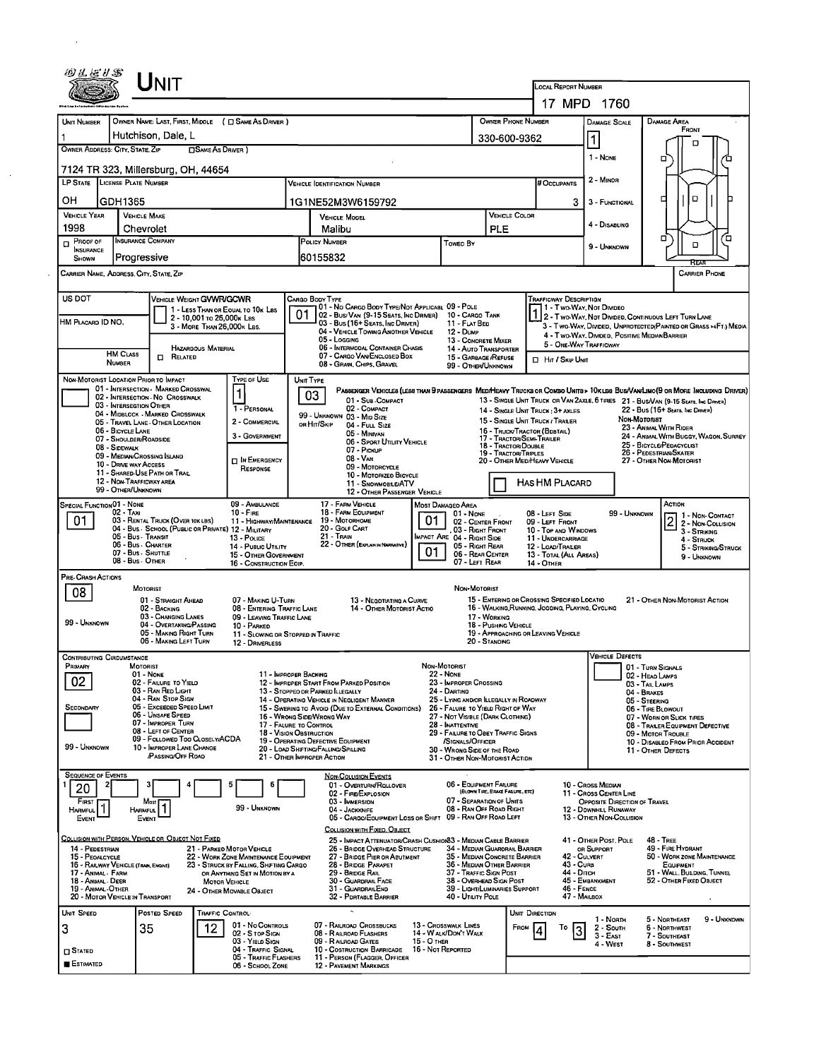|                                                                |                                                                | Unit                                                                                   |                            |                                                                               |                                                                 |                                                                                                                                           |                   |                                                                                           |                                      |                                                           |                                        |                                                                                    |                                      |                                                                               |                                                                  |
|----------------------------------------------------------------|----------------------------------------------------------------|----------------------------------------------------------------------------------------|----------------------------|-------------------------------------------------------------------------------|-----------------------------------------------------------------|-------------------------------------------------------------------------------------------------------------------------------------------|-------------------|-------------------------------------------------------------------------------------------|--------------------------------------|-----------------------------------------------------------|----------------------------------------|------------------------------------------------------------------------------------|--------------------------------------|-------------------------------------------------------------------------------|------------------------------------------------------------------|
|                                                                |                                                                |                                                                                        |                            |                                                                               |                                                                 |                                                                                                                                           |                   |                                                                                           |                                      |                                                           | LOCAL REPORT NUMBER                    | 17 MPD 1760                                                                        |                                      |                                                                               |                                                                  |
|                                                                |                                                                |                                                                                        |                            | OWNER NAME: LAST, FIRST, MIDDLE ( C SAME AS DRIVER )                          |                                                                 |                                                                                                                                           |                   |                                                                                           | OWNER PHONE NUMBER                   |                                                           |                                        |                                                                                    |                                      | DAMAGE AREA                                                                   |                                                                  |
| UNIT NUMBER                                                    |                                                                | Hutchison, Dale, L                                                                     |                            |                                                                               |                                                                 |                                                                                                                                           |                   |                                                                                           | 330-600-9362                         |                                                           |                                        | <b>DAMAGE SCALE</b>                                                                |                                      | FRONT                                                                         |                                                                  |
|                                                                | OWNER ADDRESS: CITY, STATE, ZIP                                |                                                                                        | □ SAME AS DRIVER)          |                                                                               |                                                                 |                                                                                                                                           |                   |                                                                                           |                                      |                                                           |                                        | 1<br>1 - NONE                                                                      |                                      | D                                                                             |                                                                  |
|                                                                |                                                                | 7124 TR 323, Millersburg, OH, 44654                                                    |                            |                                                                               |                                                                 |                                                                                                                                           |                   |                                                                                           |                                      |                                                           |                                        |                                                                                    |                                      | □                                                                             |                                                                  |
|                                                                | LP STATE LICENSE PLATE NUMBER                                  |                                                                                        |                            |                                                                               |                                                                 | <b>VEHICLE IDENTIFICATION NUMBER</b>                                                                                                      |                   |                                                                                           |                                      | # Occupants                                               |                                        | 2 - MINOR                                                                          |                                      |                                                                               |                                                                  |
| OН                                                             | GDH1365                                                        |                                                                                        |                            |                                                                               |                                                                 | 1G1NE52M3W6159792                                                                                                                         |                   |                                                                                           |                                      |                                                           | 3                                      | 3 - FUNCTIONAL                                                                     |                                      | □<br>о                                                                        |                                                                  |
| <b>VEHICLE YEAR</b><br>1998                                    |                                                                | <b>VEHICLE MAKE</b><br>Chevrolet                                                       |                            |                                                                               |                                                                 | <b>VEHICLE MODEL</b><br>Malibu                                                                                                            |                   |                                                                                           | <b>VEHICLE COLOR</b><br>PLE          |                                                           |                                        | 4 - DISABLING                                                                      |                                      |                                                                               |                                                                  |
| $P$ ROOF OF                                                    |                                                                | <b>INSURANCE COMPANY</b>                                                               |                            |                                                                               |                                                                 | POLICY NUMBER                                                                                                                             |                   | Toweo By                                                                                  |                                      |                                                           |                                        | 9 - Unknown                                                                        |                                      | α<br>$\Box$                                                                   | Έ                                                                |
| <b>INSURANCE</b><br>SHOWN                                      | Progressive                                                    |                                                                                        |                            |                                                                               |                                                                 | 60155832                                                                                                                                  |                   |                                                                                           |                                      |                                                           |                                        |                                                                                    |                                      | RFA                                                                           |                                                                  |
|                                                                | CARRIER NAME, ADDRESS, CITY, STATE, ZIP                        |                                                                                        |                            |                                                                               |                                                                 |                                                                                                                                           |                   |                                                                                           |                                      |                                                           |                                        |                                                                                    |                                      |                                                                               | <b>CARRIER PHONE</b>                                             |
| US DOT                                                         |                                                                | VEHICLE WEIGHT GVWR/GCWR                                                               |                            |                                                                               |                                                                 | CARGO BODY TYPE                                                                                                                           |                   |                                                                                           |                                      | TRAFFICWAY DESCRIPTION                                    |                                        |                                                                                    |                                      |                                                                               |                                                                  |
| HM PLACARD ID NO.                                              |                                                                |                                                                                        | 2 - 10,001 To 26,000K Las  | 1 - LESS THAN OR EQUAL TO 10K LBS                                             | 01                                                              | 101 - No Cargo Body Type/Not Applicabl 09 - Pole<br>02 - Bus/Van (9-15 Seats, Inc Driver)                                                 |                   | 10 - CARGO TANK                                                                           |                                      |                                                           |                                        | 1 - Two-Way, Not Divideo<br>2 - Two-Way, Not Divided, Continuous Left Turn Lane    |                                      |                                                                               |                                                                  |
|                                                                |                                                                |                                                                                        | 3 - MORE THAN 26,000K LBS. |                                                                               |                                                                 | 03 - Bus (16+ Seats, Inc Driver)<br>04 - VEHICLE TOWING ANOTHER VEHICLE<br>05 - LOGGING                                                   |                   | 11 - FLAT BED<br>12 - Dump                                                                |                                      |                                                           |                                        | 4 - Two-Way, Divided, Positive Median Barrier                                      |                                      |                                                                               | 3 - Two-Way, Divided, UNPROTECTED (PAINTED OR GRASS >4FT.) MEDIA |
| <b>HAZARDOUS MATERIAL</b><br><b>HM CLASS</b><br>$\Box$ Related |                                                                |                                                                                        |                            |                                                                               | 06 - INTERMODAL CONTAINER CHASIS<br>07 - CARGO VAN ENCLOSED BOX | 13 - CONCRETE MIXER<br>14 - Auto Transporter<br>15 - GARBAGE /REFUSE                                                                      |                   |                                                                                           |                                      | 5 - ONE WAY TRAFFICWAY                                    |                                        |                                                                                    |                                      |                                                                               |                                                                  |
|                                                                | <b>NUMBER</b>                                                  |                                                                                        |                            |                                                                               |                                                                 | 08 - GRAN, CHIPS, GRAVEL                                                                                                                  |                   | 99 - OTHER/UNKNOWN                                                                        |                                      | <b>D</b> Hr / Skip Unit                                   |                                        |                                                                                    |                                      |                                                                               |                                                                  |
|                                                                | NON-MOTORIST LOCATION PRIOR TO IMPACT                          | 01 - INTERSECTION - MARKED CROSSWAL                                                    |                            | <b>TYPE OF USE</b>                                                            |                                                                 | UNIT TYPE<br>PASSENGER VEHICLES (LESS THAN 9 PASSENGERS MED/HEAVY TRUCKS OR COMBO UNITS > 10K LES BUS/VAMLIMO(9 OR MORE INCLUDING DRIVER) |                   |                                                                                           |                                      |                                                           |                                        |                                                                                    |                                      |                                                                               |                                                                  |
|                                                                | 03 - INTERSEGTION OTHER                                        | 02 - INTERSECTION - NO CROSSWALK                                                       |                            | 1 - PERSONAL                                                                  |                                                                 | 03<br>01 - Sub - COMPACT<br>02 - COMPACT                                                                                                  |                   |                                                                                           |                                      | 14 - SINGLE UNIT TRUCK: 3+ AXLES                          |                                        | 13 - SINGLE UNIT TRUCK OR VAN 2AXLE, 6 TIRES 21 - BUS/VAN (9-15 SEATS, INC DRIVER) |                                      | 22 - Bus (16+ Seats, Inc Driver)                                              |                                                                  |
|                                                                |                                                                | 04 - MIDBLOCK - MARKED CROSSWALK<br>05 - Travel LANE - OTHER LOCATION                  |                            | 2 - COMMERCIAL                                                                |                                                                 | 99 - UNKNOWN 03 - MID SIZE<br>OR HIT/SKIP<br>04 - FULL SIZE                                                                               |                   |                                                                                           |                                      | 15 - SINGLE UNIT TRUCK / TRAILER                          |                                        |                                                                                    | NON-MOTORIST                         | 23 - ANIMAL WITH RIDER                                                        |                                                                  |
|                                                                | 06 - BICYCLE LANE<br>07 - SHOULDER/ROADSIDE<br>08 - SIDEWALK   |                                                                                        |                            | 3 - GOVERNMENT                                                                |                                                                 | 05 - Minivan<br>06 - SPORT UTILITY VEHICLE                                                                                                |                   |                                                                                           | 18 - Tractor/Double                  | 16 - Truck/Tractor (BDBTAIL)<br>17 - TRACTOR/SEMI-TRAILER |                                        |                                                                                    |                                      | 25 - BICYCLE/PEDACYCLIST                                                      | 24 - ANIMAL WITH BUGGY, WAGON, SURREY                            |
|                                                                | 09 - MEDIAN CROSSING ISLAND<br>10 - DRIVE WAY ACCESS           |                                                                                        |                            | <b>IN EMERGENCY</b>                                                           |                                                                 | 07 - Proxue<br>08 - VAN                                                                                                                   |                   |                                                                                           | 19 - Tractor/Triples                 | 20 - OTHER MEDIHEAVY VEHICLE                              |                                        |                                                                                    |                                      | 26 - PEDESTRIAN/SKATER<br>27 - OTHER NON-MOTORIST                             |                                                                  |
|                                                                | 12 - NON-TRAFFICWAY AREA                                       | 11 - SHARED-USE PATH OR TRAIL                                                          |                            | RESPONSE                                                                      |                                                                 | 09 - MOTORCYCLE<br>10 - MOTORIZEO BICYCLE                                                                                                 |                   |                                                                                           |                                      |                                                           |                                        |                                                                                    |                                      |                                                                               |                                                                  |
|                                                                | 99 - OTHER/UNKNOWN                                             |                                                                                        |                            |                                                                               |                                                                 | 11 - SNOWMOBILE/ATV<br>12 - OTHER PASSENGER VEHICLE                                                                                       |                   |                                                                                           |                                      | HAS HM PLACARD                                            |                                        |                                                                                    |                                      |                                                                               |                                                                  |
|                                                                | SPECIAL FUNCTION 01 - NONE<br>$02 - T_Ax_1$                    |                                                                                        |                            | 09 - AMBULANCE<br>$10 -$ Fine                                                 |                                                                 | 17 - FARM VEHICLE<br>18 - FARM EQUIPMENT                                                                                                  |                   | MOST DAMAGEO AREA<br>01 - None                                                            |                                      | 08 - LEFT SIDE                                            |                                        |                                                                                    | 99 - UNKNOWN                         | ACTION                                                                        | 1 - Non-CONTACT                                                  |
| 01                                                             |                                                                | 03 - RENTAL TRUCK (OVER 10KLBS)<br>04 - BUS - SCHOOL (PUBLIC OR PRIVATE) 12 - MILITARY |                            | 11 - HIGHWAY/MAINTENANCE                                                      |                                                                 | 19 - Мотовноме<br>20 - GOLF CART                                                                                                          | 01                | 02 - CENTER FRONT<br>03 - RIGHT FRONT                                                     |                                      | 09 - LEFT FRONT<br>10 - TOP AND WINDOWS                   |                                        |                                                                                    |                                      | o<br>ے<br>3 - STRIKING                                                        | 2 - Non-Collision                                                |
|                                                                | 05 - Bus - Transit<br>06 - Bus - CHARTER<br>07 - Bus - SHUTTLE |                                                                                        |                            | 13 - Police<br>14 - PUBLIC UTILITY                                            |                                                                 | 21 - Train<br>22 - OTHER (EXPLAN IN NARRATIVE)                                                                                            | 01                | MPACT ARE 04 - RIGHT SIDE<br>05 - RIGHT REAR                                              |                                      | 11 - UNDERCARRIAGE<br>12 - LOAD/TRALER                    |                                        |                                                                                    |                                      | 4 - STRUCK                                                                    | 5 - Strikng/Struck                                               |
|                                                                | 08 - Bus - Other                                               |                                                                                        |                            | 15 - OTHER GOVERNMENT<br>16 - CONSTRUCTION EOIP.                              |                                                                 |                                                                                                                                           |                   | 06 - REAR CENTER<br>07 - LEFT REAR                                                        |                                      | 13 - TOTAL (ALL AREAS)<br><b>14 - OTHER</b>               |                                        |                                                                                    |                                      |                                                                               | 9 - UNKNOWN                                                      |
| PRE- CRASH ACTIONS                                             |                                                                | MOTORIST                                                                               |                            |                                                                               |                                                                 |                                                                                                                                           |                   | NON-MOTORIST                                                                              |                                      |                                                           |                                        |                                                                                    |                                      |                                                                               |                                                                  |
| 08                                                             |                                                                | 01 - STRAIGHT AHEAD                                                                    |                            | 07 - MAKING U-TURN                                                            |                                                                 | 13 - NEGOTIATING A CURVE                                                                                                                  |                   |                                                                                           |                                      | 15 - ENTERING OR CROSSING SPECIFIED LOCATIO               |                                        |                                                                                    |                                      | 21 - OTHER NON-MOTORIST ACTION                                                |                                                                  |
| 99 - UNKNOWN                                                   |                                                                | 02 - BACKING<br>03 - CHANGING LANES<br>04 - OVERTAKING/PASSING                         |                            | 08 - ENTERING TRAFFIC LANE<br>09 - LEAVING TRAFFIC LANE                       |                                                                 | 14 - OTHER MOTORIST ACTIO                                                                                                                 |                   |                                                                                           | 17 - WORKING<br>18 - PUSHING VEHICLE | 16 - WALKING, RUNNING, JOGGING, PLAYING, CYCLING          |                                        |                                                                                    |                                      |                                                                               |                                                                  |
|                                                                |                                                                | 05 - MAKING RIGHT TURN<br>06 - MAKING LEFT TURN                                        |                            | 10 - PARKED<br>11 - SLOWING OR STOPPED IN TRAFFIC<br>12 - DRIVERLESS          |                                                                 |                                                                                                                                           |                   |                                                                                           | 20 - STANDING                        | 19 - APPROACHING OR LEAVING VEHICLE                       |                                        |                                                                                    |                                      |                                                                               |                                                                  |
|                                                                | <b>CONTRIBUTING CIRCUMSTANCE</b>                               |                                                                                        |                            |                                                                               |                                                                 |                                                                                                                                           |                   |                                                                                           |                                      |                                                           |                                        | <b>VEHICLE DEFECTS</b>                                                             |                                      |                                                                               |                                                                  |
| Primary                                                        |                                                                | MOTORIST<br>01 - None                                                                  |                            | 11 - IMPROPER BACKING                                                         |                                                                 |                                                                                                                                           |                   | NON-MOTORIST<br><b>22 - NONE</b>                                                          |                                      |                                                           |                                        |                                                                                    | 01 - TURN SIGNALS<br>02 - HEAD LAMPS |                                                                               |                                                                  |
| 02                                                             |                                                                | 02 - FAILURE TO YIELD<br>03 - RAN RED LIGHT                                            |                            |                                                                               |                                                                 | 12 - IMPROPER START FROM PARKED POSITION<br>13 - STOPPEO OR PARKED ILLEGALLY                                                              |                   | 23 - IMPROPER CROSSING<br>24 - DARTING                                                    |                                      |                                                           |                                        |                                                                                    | 03 - TAIL LAMPS<br>04 - BRAKES       |                                                                               |                                                                  |
| SECONDARY                                                      |                                                                | 04 - RAN STOP SIGN<br>05 - Exceeded Speed Limit                                        |                            |                                                                               |                                                                 | 14 - OPERATING VEHICLE IN NEGLIGENT MANNER<br>15 - Swering to Avoid (Due to External Conditions)                                          |                   | 25 - LYING AND/OR ILLEGALLY IN ROADWAY<br>26 - FALURE TO YIELD RIGHT OF WAY               |                                      |                                                           |                                        |                                                                                    | 05 - STEERING<br>06 - TIRE BLOWOUT   |                                                                               |                                                                  |
|                                                                |                                                                | 06 - Unsafe Speed<br>07 - IMPROPER TURN<br>08 - LEFT OF CENTER                         |                            | 17 - FALURE TO CONTROL                                                        |                                                                 | 16 - WRONG SIDE/WRONG WAY                                                                                                                 |                   | 27 - NOT VISBLE (DARK CLOTHING)<br>28 - Inattentive<br>29 - FAILURE TO OBEY TRAFFIC SIGNS |                                      |                                                           |                                        |                                                                                    |                                      | 07 - WORN OR SLICK TIRES<br>08 - TRAILER EQUIPMENT DEFECTIVE                  |                                                                  |
| 99 - Unknown                                                   |                                                                | 09 - Followed Too Closely/ACDA<br>10 - IMPROPER LANE CHANGE                            |                            | 18 - VISION OBSTRUCTION                                                       |                                                                 | 19 - OPERATING DEFECTIVE EQUIPMENT<br>20 - LOAD SHIFTING/FALLING/SPILLING                                                                 |                   | /SIGNALS/OFFICER<br>30 - WRONG SIDE OF THE ROAD                                           |                                      |                                                           |                                        |                                                                                    |                                      | 09 - MOTOR TROUBLE<br>10 - DISABLEO FROM PRIOR ACCIDENT<br>11 - OTHER DEFECTS |                                                                  |
|                                                                |                                                                | /PASSING/OFF ROAD                                                                      |                            |                                                                               |                                                                 | 21 - OTHER IMPROPER ACTION                                                                                                                |                   | 31 - OTHER NON-MOTORIST ACTION                                                            |                                      |                                                           |                                        |                                                                                    |                                      |                                                                               |                                                                  |
| <b>SEQUENCE OF EVENTS</b>                                      |                                                                | 3                                                                                      |                            |                                                                               |                                                                 | <b>NON-COLLISION EVENTS</b><br>01 - Overturn/Rollover                                                                                     |                   | 06 - EQUIPMENT FAILURE                                                                    |                                      |                                                           |                                        | 10 - Cross Meown                                                                   |                                      |                                                                               |                                                                  |
| 20<br>FIRST                                                    |                                                                | Most                                                                                   |                            |                                                                               |                                                                 | 02 - FIRE/EXPLOSION<br>03 - IMMERSION                                                                                                     |                   | 07 - SEPARATION OF UNITS                                                                  | (BLOWN TIRE, BRAKE FAGURE, ETC)      |                                                           |                                        | 11 - CROSS CENTER LINE<br>OPPOSITE DIRECTION OF TRAVEL                             |                                      |                                                                               |                                                                  |
| HARMFUL <sup>1</sup><br>EVENT                                  |                                                                | <b>HARMFUL</b><br>EVENT                                                                |                            | 99 - UNKNOWN                                                                  |                                                                 | 04 - JACKKNIFE<br>05 - CARGO/EOUIPMENT LOSS OR SHIFT 09 - RAN OFF ROAD LEFT                                                               |                   | 08 - RAN OFF ROAD RIGHT                                                                   |                                      |                                                           |                                        | 12 - DOWNHILL RUNAWAY<br>13 - OTHER NON-COLLISION                                  |                                      |                                                                               |                                                                  |
|                                                                |                                                                |                                                                                        |                            |                                                                               |                                                                 | COLLISION WITH FIXED, OBJECT                                                                                                              |                   |                                                                                           |                                      |                                                           |                                        |                                                                                    |                                      |                                                                               |                                                                  |
| 14 - PEDESTRIAN                                                |                                                                | COLLISION WITH PERSON, VEHICLE OR OBJECT NOT FIXED                                     |                            | 21 - PARKEO MOTOR VEHICLE                                                     |                                                                 | 25 - IMPACT ATTENUATOR/CRASH CUSHION 3 - MEDIAN CABLE BARRIER<br>26 - BRIDGE OVERHEAD STRUCTURE                                           |                   | 34 - Median Guarorail Barrier                                                             |                                      |                                                           |                                        | 41 - OTHER POST, POLE<br>OR SUPPORT                                                |                                      | <b>48 - TREE</b><br>49 - FIRE HYDRANT                                         |                                                                  |
| 15 - PEOALCYCLE                                                | 16 - RAILWAY VEHICLE (TRAN, ENGINE)                            |                                                                                        |                            | 22 - WORK ZONE MAINTENANCE EQUIPMENT<br>23 - STRUCK BY FALLING, SHETING CARGO |                                                                 | 27 - BRIDGE PIER OR ABUTMENT<br>28 - BRIDGE PARAPET                                                                                       |                   | 35 - MEDIAN CONCRETE BARRIER<br>36 - MEDIAN OTHER BARRIER                                 |                                      |                                                           | 42 - CULVERT<br>43 - Curs<br>44 - Опси |                                                                                    |                                      | 50 - WORK ZONE MAINTENANCE<br>EQUIPMENT                                       |                                                                  |
| 17 - Animal - Farm<br>18 - Animal - Deer                       | 19 - Animal Other                                              |                                                                                        | <b>MOTOR VEHICLE</b>       | OR ANYTHING SET IN MOTION BY A                                                |                                                                 | 29 - BRIDGE RAIL<br>30 - GUARDRAIL FACE<br>31 - GUARDRAILEND                                                                              |                   | 37 - TRAFFIC SIGN POST<br>38 - OVERHEAD SIGN POST<br>39 - LIGHT/LUMINARIES SUPPORT        |                                      |                                                           | $46 -$ FENCE                           | 45 - EMBANKMENT                                                                    |                                      | 51 - Wall Bulding, Tunnei<br>52 - OTHER FIXED OBJECT                          |                                                                  |
|                                                                | 20 - MOTOR VEHICLE IN TRANSPORT                                |                                                                                        |                            | 24 - OTHER MOVABLE OBJECT                                                     |                                                                 | 32 - PORTABLE BARRIER                                                                                                                     |                   | 40 - UTILITY POLE                                                                         |                                      |                                                           | 47 - MAILBOX                           |                                                                                    |                                      |                                                                               |                                                                  |
| UNIT SPEED                                                     |                                                                | POSTED SPEED                                                                           | TRAFFIC CONTROL-           | 01 - No CONTROLS                                                              |                                                                 | 07 - RAILROAD CROSSBUCKS                                                                                                                  |                   | 13 - Crosswalk Lines                                                                      |                                      | UNIT DIRECTION                                            |                                        | 1 - Nonn                                                                           |                                      | 5 - Northeast                                                                 | 9 - Unknown                                                      |
| 3                                                              |                                                                | 35                                                                                     | 12                         | 02 - S TOP SIGN<br>03 - YIELD SIGN                                            |                                                                 | 08 - RAILROAD FLASHERS<br>09 - RAILROAD GATES                                                                                             | 15 - О тнен       | 14 - WALK/DON'T WALK                                                                      | From                                 |                                                           | То<br>3                                | 2 - South<br>3 - East                                                              |                                      | 6 - NORTHWEST<br>7 - SOUTHEAST                                                |                                                                  |
| $\square$ Stated                                               |                                                                |                                                                                        |                            | 04 - Traffic Signal<br>05 - Traffic Flashers                                  |                                                                 | 10 - COSTRUCTION BARRICADE<br>11 - PERSON (FLAGGER, OFFICER                                                                               | 16 - Not Reported |                                                                                           |                                      |                                                           |                                        | 4 - West                                                                           |                                      | 8 - SOUTHWEST                                                                 |                                                                  |
| ESTIMATED                                                      |                                                                |                                                                                        |                            | 06 - SCHOOL ZONE                                                              |                                                                 | <b>12 - PAVEMENT MARKINGS</b>                                                                                                             |                   |                                                                                           |                                      |                                                           |                                        |                                                                                    |                                      |                                                                               |                                                                  |

 $\mathcal{A}^{\text{max}}_{\text{max}}$ 

 $\Delta \sim 10^4$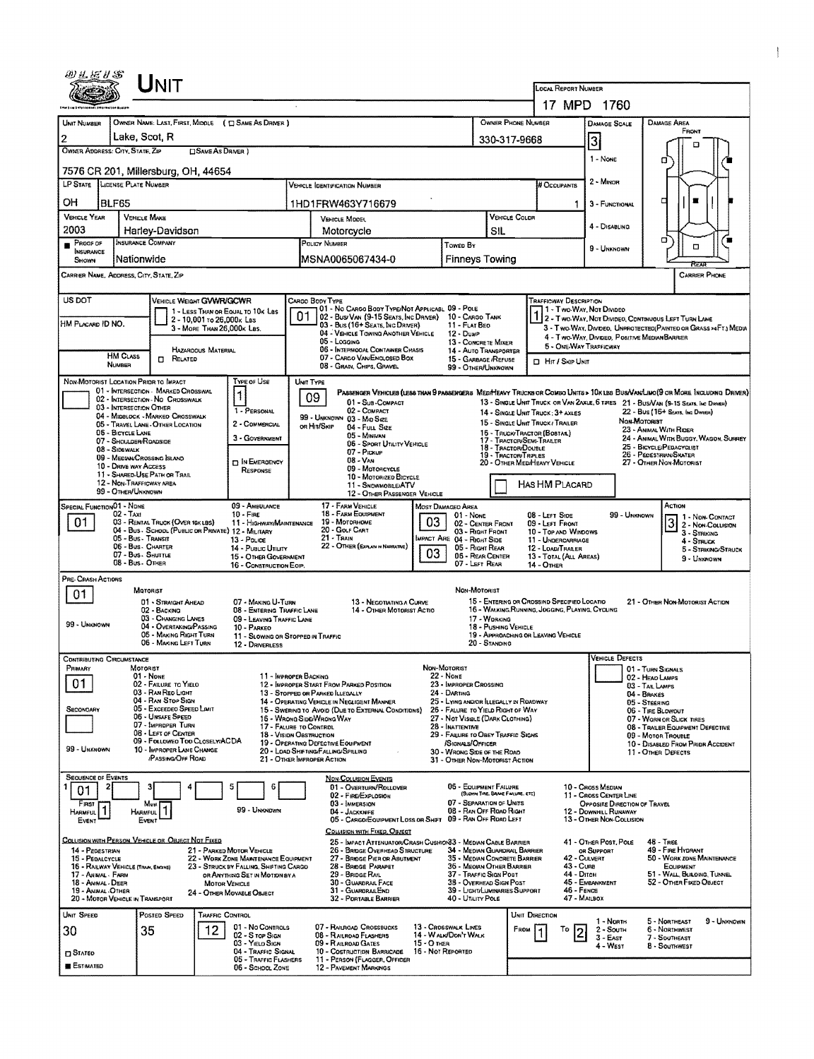| ぬきだりや                                                                 |                                                | <b>NIT</b>                                                              |                            |                                                                                |    |                                                                                                                                |                                     |                                                                       |                                      |                                                                                                 |                                                   |                                                        |                                     |                                                                                                                        |  |
|-----------------------------------------------------------------------|------------------------------------------------|-------------------------------------------------------------------------|----------------------------|--------------------------------------------------------------------------------|----|--------------------------------------------------------------------------------------------------------------------------------|-------------------------------------|-----------------------------------------------------------------------|--------------------------------------|-------------------------------------------------------------------------------------------------|---------------------------------------------------|--------------------------------------------------------|-------------------------------------|------------------------------------------------------------------------------------------------------------------------|--|
|                                                                       |                                                |                                                                         |                            |                                                                                |    |                                                                                                                                |                                     |                                                                       |                                      |                                                                                                 | <b>LOCAL REPORT NUMBER</b>                        |                                                        |                                     |                                                                                                                        |  |
|                                                                       |                                                |                                                                         |                            |                                                                                |    |                                                                                                                                |                                     |                                                                       |                                      |                                                                                                 |                                                   | 17 MPD 1760                                            |                                     |                                                                                                                        |  |
| <b>UNIT NUMBER</b>                                                    |                                                |                                                                         |                            | OWNER NAME: LAST, FIRST, MIDDLE ( $\Box$ SAME AS DRIVER )                      |    |                                                                                                                                |                                     |                                                                       |                                      | <b>OWNER PHONE NUMBER</b>                                                                       |                                                   | <b>DAMAGE SCALE</b>                                    |                                     | <b>DAMAGE AREA</b><br>FRONT                                                                                            |  |
| 2                                                                     | Lake, Scot, R                                  |                                                                         |                            |                                                                                |    |                                                                                                                                |                                     |                                                                       | 330-317-9668                         |                                                                                                 |                                                   | 3                                                      |                                     | о                                                                                                                      |  |
| OWNER ADDRESS: CITY, STATE, ZIP                                       |                                                |                                                                         | <b>CISAME AS DRIVER</b> )  |                                                                                |    |                                                                                                                                |                                     |                                                                       |                                      |                                                                                                 |                                                   | 1 - None                                               |                                     | α                                                                                                                      |  |
| 7576 CR 201, Millersburg, OH, 44654                                   |                                                |                                                                         |                            |                                                                                |    |                                                                                                                                |                                     |                                                                       |                                      |                                                                                                 |                                                   | 2 - MINOR                                              |                                     |                                                                                                                        |  |
| <b>LP STATE</b>                                                       | LICENSE PLATE NUMBER                           |                                                                         |                            |                                                                                |    | <b>VEHICLE IDENTIFICATION NUMBER</b>                                                                                           |                                     |                                                                       |                                      |                                                                                                 | # Occupants                                       |                                                        |                                     |                                                                                                                        |  |
| ОH                                                                    | <b>BLF65</b>                                   |                                                                         |                            |                                                                                |    | 1HD1FRW463Y716679                                                                                                              |                                     |                                                                       |                                      |                                                                                                 |                                                   | 3 - FUNCTIONAL                                         |                                     | г                                                                                                                      |  |
| <b>VEHICLE YEAR</b><br>2003                                           | <b>VEHICLE MAKE</b>                            |                                                                         |                            |                                                                                |    | VEHICLE MODEL                                                                                                                  |                                     |                                                                       | VEHICLE COLOR                        |                                                                                                 |                                                   | 4 - DISABLING                                          |                                     |                                                                                                                        |  |
| PROOF OF                                                              | INSURANCE COMPANY                              | Harley-Davidson                                                         |                            |                                                                                |    | Motorcycle<br>POLICY NUMBER                                                                                                    |                                     | Towed By                                                              | <b>SIL</b>                           |                                                                                                 |                                                   | σ                                                      |                                     |                                                                                                                        |  |
| <b>INSURANCE</b><br>SHOWN                                             | Nationwide                                     |                                                                         |                            |                                                                                |    | MSNA0065067434-0                                                                                                               |                                     | <b>Finneys Towing</b>                                                 |                                      |                                                                                                 |                                                   | 9 - UNKNOWN                                            |                                     | □<br>REA                                                                                                               |  |
| CARRIER NAME, ADDRESS, CITY, STATE, ZIP                               |                                                |                                                                         |                            |                                                                                |    |                                                                                                                                |                                     |                                                                       |                                      |                                                                                                 |                                                   |                                                        |                                     | CARRIER PHONE                                                                                                          |  |
| US DOT                                                                |                                                | VEHICLE WEIGHT GWWR/GCWR                                                |                            |                                                                                |    | CARGO BODY TYPE                                                                                                                |                                     |                                                                       |                                      |                                                                                                 | <b>TRAFFICWAY DESCRIPTION</b>                     |                                                        |                                     |                                                                                                                        |  |
|                                                                       |                                                |                                                                         | 2 - 10,001 To 26,000x Las  | 1 - LESS THAN OR EQUAL TO 10K LBS                                              | 01 | 01 - No CARGO BODY TYPE/NOT APPLICABL 09 - POLE<br>02 Bus/Van (9-15 Seats, Inc Driver)                                         |                                     | 10 - CARGO TANK                                                       |                                      |                                                                                                 |                                                   | 1 - Two-Way, Not Divideo                               |                                     | 2 - Two Way, Not Divideo, Continuous LEFT TURN LANE                                                                    |  |
| HM PLACARD ID NO.                                                     |                                                |                                                                         | 3 - MORE THAN 26,000K LBS. |                                                                                |    | 03 - Bus (16+ Seats, Inc DRIVER)<br>04 - VEHICLE TOWING ANOTHER VEHICLE                                                        |                                     | 11 - FLAT BEO<br>12 - Dump                                            |                                      |                                                                                                 |                                                   | 4 - Two-Way, Divideo, Positive Median Barrier          |                                     | 3 - Two-Way, Divideo, Unprotected (Painted or Grass >4FT.) Media                                                       |  |
|                                                                       |                                                |                                                                         | HAZAROOUS MATERIAL         |                                                                                |    | $05 -$ Logging<br>06 - INTERMOOAL CONTAINER CHASIS                                                                             |                                     | 13 - CONCRETE MIXER<br>14 - Auto Transporter                          |                                      |                                                                                                 |                                                   | 5 - ONE-WAY TRAFFICWAY                                 |                                     |                                                                                                                        |  |
| <b>HM CLASS</b><br>П.<br>RELATED<br>NUMBER                            |                                                |                                                                         |                            |                                                                                |    | 07 - CARGO VAN ENGLOSED BOX<br>08 - GRAIN, CHIPS, GRAVEL                                                                       |                                     | 15 - GARBAGE / REFUSE<br>99 - OTHER/UNKNOWN                           |                                      |                                                                                                 | <b>D</b> Hit / Skip UNIT                          |                                                        |                                     |                                                                                                                        |  |
| NON-MOTORIST LOCATION PRIDR TO IMPACT                                 |                                                |                                                                         |                            | Type of Use                                                                    |    | UNIT TYPE                                                                                                                      |                                     |                                                                       |                                      |                                                                                                 |                                                   |                                                        |                                     |                                                                                                                        |  |
|                                                                       |                                                | 01 - INTERSECTION - MARKED CROSSWAL<br>02 - INTERSECTION - NO CROSSWALK |                            | 1                                                                              |    | 09                                                                                                                             |                                     |                                                                       |                                      |                                                                                                 |                                                   |                                                        |                                     | PASSENGER VEHICLES (LESS THAN 9 PASSENGERS MEDA TENCKS OR COMBO UNITS > 10KLBS BUS/VAMLIMO(9 OR MORE INCLUDING DRIVER) |  |
|                                                                       | 03 - INTERSECTION OTHER                        | 04 - MIDBLOCK - MARKEO CROSSWALK                                        |                            | 1 - PERSONAL                                                                   |    | 01 - SUB-COMPACT<br>02 - COMPACT                                                                                               |                                     |                                                                       |                                      | 14 - SINGLE UNIT TRUCK: 3+ AXLES                                                                |                                                   |                                                        |                                     | 13 - SINGLE UNIT TRUCK OR VAN 2AXLE, 6 TIRES 21 - BUS/VAN (9-15 SEATS, INC DRIVER)<br>22 - Bus (16+ Seats, Inc Driver) |  |
|                                                                       | 06 - BICYCLE LANE                              | 05 - TRAVEL LANE - OTHER LOCATION                                       |                            | 2 - COMMERCIAL                                                                 |    | 99 - UNKNOWN 03 - MIO SIZE<br>or Hit/Skip<br>04 - FULL SIZE                                                                    |                                     |                                                                       |                                      | 15 - SINGLE UNIT TRUCK / TRAILER                                                                |                                                   |                                                        | Non Motorist                        | 23 - ANIMAL WITH RIDER                                                                                                 |  |
|                                                                       | 07 - SHOULDER/RDADSIDE                         |                                                                         |                            | 3 - GOVERNMENT                                                                 |    | 16 - TRUCK/TRACTOR (BOBTAR.)<br>05 - Minkvan<br>17 - TRACTOR/SEMI-TRAILER<br>06 - SPORT UTILITY VEHICLE<br>18 - TRACTOR/DOUBLE |                                     |                                                                       |                                      |                                                                                                 |                                                   |                                                        |                                     | 24 - ANIMAL WITH BUGGY, WAGON, SURREY<br>25 - BICYCLE/PEDACYCLIST                                                      |  |
|                                                                       | 08 - SIDEWALK                                  | 09 - MEDIAN/CROSSING SLAND                                              |                            | <b>D IN EMERGENCY</b>                                                          |    | 07 - Pickup<br>19 - Tractor Trules<br>$08 - V_{AN}$<br>20 - OTHER MEDIHEAVY VEHICLE                                            |                                     |                                                                       |                                      |                                                                                                 | 26 - PEDESTRIAN/SKATER<br>27 - OTHER NON-MOTORIST |                                                        |                                     |                                                                                                                        |  |
|                                                                       | 10 - DRIVE WAY ACCESS                          | 11 - SHARED-USE PATH OR TRAIL                                           |                            | RESPONSE                                                                       |    | 09 - MOTORCYCLE<br>10 - MOTORIZED BICYCLE                                                                                      |                                     |                                                                       |                                      |                                                                                                 |                                                   |                                                        |                                     |                                                                                                                        |  |
|                                                                       | 12 - NON-TRAFFICWAY AREA<br>99 - OTHER/UNKNOWN |                                                                         |                            |                                                                                |    | 11 - SNOWMOBLE/ATV<br>12 - OTHER PASSENGER VEHICLE                                                                             |                                     |                                                                       |                                      | HAS HM PLACARD                                                                                  |                                                   |                                                        |                                     |                                                                                                                        |  |
| <b>SPECIAL FUNCTIONO1 - NONE</b>                                      | $02 - TAX1$                                    |                                                                         |                            | 09 - AMBULANCE                                                                 |    | 17 - FARM VEHICLE<br>18 - FARM EQUIPMENT                                                                                       | Most Damageo Area                   |                                                                       |                                      |                                                                                                 |                                                   |                                                        |                                     | ACTION                                                                                                                 |  |
| 01                                                                    |                                                | 03 - RENTAL TRUCK (OVER 10K LBS)                                        |                            | $10 -$ Fire<br>11 - HIGHWAY/MAINTENANCE                                        |    | 19 - Мотовноме<br>20 - GOLF CART                                                                                               | 03                                  | 01 - NONE<br>02 - CENTER FRONT                                        |                                      | 08 - LEFT SIDE<br>09 - LEFT FRONT                                                               |                                                   | 99 - Unknown                                           |                                     | 1 - NDN CONTACT<br>3 2 - Non-Collision                                                                                 |  |
|                                                                       | 05 - Bus - Transit                             | 04 - Bus - SCHODL (PUBLIC OR PRIVATE) 12 - MILITARY                     |                            | 13 - Pouce                                                                     |    | 21 - TRAIN                                                                                                                     | IMPACT ARE 04 - RIGHT SIDE          | 03 - Richt Front                                                      |                                      |                                                                                                 | 10 - Top and Windows<br>11 - UNDERCARRIAGE        |                                                        |                                     | 3 - STRIKING<br>4 - STRUCK                                                                                             |  |
|                                                                       | 06 - Bus - Charter<br>07 - Bus - SHUTTLE       |                                                                         |                            | 14 - Pueuc UTILITY<br>15 - OTHER GOVERNMENT                                    |    | 22 - OTHER (EXPLANIN NARRATIVE)                                                                                                | 03                                  | 05 - Right Rear<br>06 - REAR CENTER                                   |                                      |                                                                                                 | 12 - LOAD/TRALER<br>13 - TOTAL (ALL AREAS)        |                                                        |                                     | 5 - STRIKING/STRUCK<br>9 - Unknown                                                                                     |  |
|                                                                       | 08 - Bus - OTHER                               |                                                                         |                            | 16 - CONSTRUCTION EOIP.                                                        |    |                                                                                                                                |                                     | 07 - Left Rear                                                        |                                      | 14 - OTHER                                                                                      |                                                   |                                                        |                                     |                                                                                                                        |  |
| PRE-CRASH ACTIONS<br>01                                               |                                                | MOTORIST                                                                |                            |                                                                                |    |                                                                                                                                |                                     | Non-Motorist                                                          |                                      |                                                                                                 |                                                   |                                                        |                                     |                                                                                                                        |  |
|                                                                       |                                                | 01 - STRAIGHT AHEAD<br>02 - BACKING                                     |                            | 07 - MAKING U-TURN<br>08 - ENTERING TRAFFIC LANE                               |    | 13 - Negotiating a Curve<br>14 - OTHER MOTORIST ACTIO                                                                          |                                     |                                                                       |                                      | 15 - ENTERING OR CROSSIND SPECIFIED LOCATIO<br>16 - WALKING, RUNNING, JOGGING, PLAYING, CYCLING |                                                   |                                                        |                                     | 21 - OTHER NON-MOTORIST ACTION                                                                                         |  |
| 99 - Unknown                                                          |                                                | 03 - CHANGING LANES<br>04 - OVERTAKING/PASSING                          |                            | 09 - LEAVING TRAFFIC LANE                                                      |    |                                                                                                                                |                                     |                                                                       | 17 - WORKING<br>18 - Pushing Vehicle |                                                                                                 |                                                   |                                                        |                                     |                                                                                                                        |  |
|                                                                       |                                                | 05 - MAKING RIGHT TURN<br>06 - MAKING LEFT TURN                         |                            | 10 - PARKEO<br>11 - SLOWING OR STOPPED IN TRAFFIC                              |    |                                                                                                                                |                                     |                                                                       | 20 - STANDING                        | 19 - APPROACHING OR LEAVING VEHICLE                                                             |                                                   |                                                        |                                     |                                                                                                                        |  |
| CONTRIBUTING CIRCUMSTANCE                                             |                                                |                                                                         |                            | 12 - DRIVERLESS                                                                |    |                                                                                                                                |                                     |                                                                       |                                      |                                                                                                 |                                                   | VEHICLE DEFECTS                                        |                                     |                                                                                                                        |  |
| PRIMARY                                                               | MOTORIST                                       | 01 - None                                                               |                            | 11 - IMPROPER BACKING                                                          |    |                                                                                                                                | Non-Motorist<br>22 - NONE           |                                                                       |                                      |                                                                                                 |                                                   |                                                        | 01 - TURN SIGNALS                   |                                                                                                                        |  |
| 01                                                                    |                                                | 02 - FAILURE TO YIELO<br>03 - RAN REO LIGHT                             |                            |                                                                                |    | 12 - IMPROPER START FROM PARKED POSITION<br>13 - STOPPED OR PARKED LLEGALLY                                                    | 24 - DARTING                        | 23 - IMPROPER CROSSING                                                |                                      |                                                                                                 |                                                   |                                                        | 02 - HEAD LAMPS<br>03 - TAIL LAMPS  |                                                                                                                        |  |
|                                                                       |                                                | 04 - RAN STOP SIGN<br>05 - Exceeded Speed Limit                         |                            |                                                                                |    | 14 - OPERATING VEHICLE IN NEGLIGENT MANNER                                                                                     |                                     |                                                                       |                                      | 25 - LYING ANDIOR LLEGALLY IN ROADWAY                                                           |                                                   |                                                        | 04 - BRAKES<br><b>05 - STEERING</b> |                                                                                                                        |  |
| SECONDARY                                                             |                                                | 06 - UNSAFE SPEED<br>07 - IMPROPER TURN                                 |                            |                                                                                |    | 15 - Swering to Avoid (Due to External Conditions)<br>16 - Wrong Side Wrong Way                                                |                                     | 26 - FALURE TO YIELD RIGHT OF WAY<br>27 - NOT VISIBLE (DARK CLOTHING) |                                      |                                                                                                 |                                                   |                                                        | 06 - TIRE BLOWOUT                   | 07 - WORN OR SLICK TIRES                                                                                               |  |
|                                                                       |                                                | 08 - LEFT OF CENTER<br>09 - FOLLOWED TOO CLOSELY/ACDA                   |                            | 17 - FALURE TO CONTROL<br><b>18 - VISION OBSTRUCTION</b>                       |    |                                                                                                                                |                                     | 28 - INATTENTIVE<br>29 - FAILURE TO OBEY TRAFFIC SIGNS                |                                      |                                                                                                 |                                                   |                                                        |                                     | 08 - TRALER EQUIPMENT DEFECTIVE<br>09 - Motor Trouble                                                                  |  |
| 99 - UNKNOWN                                                          |                                                | 10 - IMPROPER LANE CHANGE<br><b>PASSING OFF ROAD</b>                    |                            |                                                                                |    | 19 - OPERATING DEFECTIVE EQUIPMENT<br>20 - LOAD SHIFTING/FALLING/SPILLING                                                      |                                     | /Stannes/Officer<br>30 - WRONG SIDE OF THE ROAD                       |                                      |                                                                                                 |                                                   |                                                        |                                     | 10 - DISABLED FROM PRIDR ACCIDENT<br>11 - OTHER DEFECTS                                                                |  |
|                                                                       |                                                |                                                                         |                            |                                                                                |    | 21 - OTHER IMPROPER ACTION                                                                                                     |                                     | 31 - OTHER NON-MOTORIST ACTION                                        |                                      |                                                                                                 |                                                   |                                                        |                                     |                                                                                                                        |  |
| <b>Sequence of Events</b>                                             |                                                |                                                                         |                            |                                                                                |    | <b>NON-COLLISION EVENTS</b><br>01 - OVERTURN/ROLLOVER                                                                          |                                     | 06 - EQUIPMENT FAILURE                                                |                                      |                                                                                                 |                                                   | 10 - Cross Median                                      |                                     |                                                                                                                        |  |
| 01<br>FIRST                                                           |                                                | Most                                                                    |                            |                                                                                |    | 02 - FIRE/EXPLOSION<br>03 - IMMERSION                                                                                          |                                     | 07 - SEPARATION OF UNITS                                              | (BLOWN TIRE, BRAKE FAILURE, ETC)     |                                                                                                 |                                                   | 11 - Cross CENTER LINE<br>OPPOSITE DIRECTION OF TRAVEL |                                     |                                                                                                                        |  |
| 1<br><b>HARMFUL</b><br>EVENT                                          |                                                | HARMFUL <sup>1</sup><br>EVENT                                           |                            | 99 UNKNOWN                                                                     |    | 04 - JACKKNIFE<br>05 - CARGO/EQUIPMENT LOSS OR SHIFT                                                                           |                                     | 08 - RAN OFF ROAD RIGHT<br>09 - RAN OFF ROAD LEFT                     |                                      |                                                                                                 |                                                   | 12 - DOWNHILL RUNAWAY<br>13 - OTHER NON-COLLISION      |                                     |                                                                                                                        |  |
|                                                                       |                                                |                                                                         |                            |                                                                                |    | COLLISION WITH FIXED, OBJECT                                                                                                   |                                     |                                                                       |                                      |                                                                                                 |                                                   |                                                        |                                     |                                                                                                                        |  |
| COLLISION WITH PERSON, VEHICLE OR OBJECT NOT FIXED<br>14 - PEDESTRIAN |                                                |                                                                         |                            | 21 - PARKED MOTOR VEHICLE                                                      |    | 25 - IMPACT ATTENUATOR/CRASH CUSHION33 - MEDIAN CABLE BARRIER<br>26 - BRIDGE OVERHEAD STRUCTURE                                |                                     | 34 - MEDIAN GUARDRAIL BARRIER                                         |                                      |                                                                                                 |                                                   | 41 - OTHER POST, POLE<br>OR SUPPORT                    |                                     | <b>48 - TREE</b><br>49 - FIRE HYDRANT                                                                                  |  |
| 15 - PEDALCYCLE<br>16 - RAILWAY VEHICLE (TRAN, ENGINE)                |                                                |                                                                         |                            | 22 - WORK ZONE MAINTENANCE EQUIPMENT<br>23 - STRUCK BY FALLING, SHIFTING CARGO |    | 27 - BRIDGE PIER OR ABUTMENT<br>28 - BRIDGE PARAPET                                                                            |                                     | 35 - MEDIAN CONCRETE BARRIER<br>36 - MEOWN OTHER BARRIER              |                                      |                                                                                                 | 42 - CULVERT<br>43 - Cuna                         |                                                        |                                     | 50 - WORK ZONE MAINTENANCE<br>EQUIPMENT                                                                                |  |
| 17 - Angers. Farm<br>18 - Animal Deer                                 |                                                |                                                                         | <b>MOTOR VEHICLE</b>       | OR ANYTHING SET IN MOTION BY A                                                 |    | 29 - BRIDGE RAIL<br>30 - GUARDRAIL FACE                                                                                        |                                     | 37 - Traffic Sign Post<br>38 - Overhead Sign Post                     |                                      |                                                                                                 | 44 - Олсн                                         | 45 - EMBANKMENT                                        |                                     | 51 - WALL, BULONG, TUNNEL<br>52 - OTHER FIXED OBJECT                                                                   |  |
| 19 - ANIMAL - OTHER<br>20 - MOTOR VEHICLE IN TRANSPORT                |                                                |                                                                         |                            | 24 - OTHER MOVABLE OBJECT                                                      |    | 31 - GUARDRAILEND<br>32 - PORTABLE BARRIER                                                                                     |                                     | 39 - LIGHT/LUMINARIES SUPPORT<br>40 - UTILITY POLE                    |                                      |                                                                                                 | 46 - FENCE<br>47 - MARBOX                         |                                                        |                                     |                                                                                                                        |  |
| UNIT SPEED                                                            |                                                | POSTED SPEED                                                            | TRAFFIC CONTROL            |                                                                                |    |                                                                                                                                |                                     |                                                                       |                                      | UNIT DERECTION                                                                                  |                                                   |                                                        |                                     |                                                                                                                        |  |
| 30                                                                    |                                                | 35                                                                      | 12                         | 01 - No CONTROLS                                                               |    | 07 - RALROAD CROSSBUCKS                                                                                                        | 13 - CROSSWALK LINES                |                                                                       |                                      | FROM                                                                                            | То                                                | 1 - North<br>$2 -$ South                               |                                     | 5 - NORTHEAST<br>9 - UNKNOWN<br>6 - NORTHWEST                                                                          |  |
|                                                                       |                                                |                                                                         |                            | 02 - S TOP SIGN<br>03 - Yield Sign                                             |    | 08 - RAILROAD FLASHERS<br>09 - RALROAD GATES                                                                                   | 14 - WALK/DON'T WALK<br>15 - O THER |                                                                       |                                      |                                                                                                 |                                                   | 3 - East<br>4 - West                                   |                                     | 7 - SOUTHEAST<br><b>8 - SOUTHWEST</b>                                                                                  |  |
| <b>CI STATEO</b><br><b>E</b> ESTIMATED                                |                                                |                                                                         |                            | 04 - Traffic Signal<br>05 - TRAFFIC FLASHERS                                   |    | 10 - COSTRUCTION BARRICADE 16 - NOT REPORTED<br>11 - PERSON (FLAGGER, OFFICER                                                  |                                     |                                                                       |                                      |                                                                                                 |                                                   |                                                        |                                     |                                                                                                                        |  |
|                                                                       |                                                |                                                                         |                            | 06 - SCHOOL ZONE                                                               |    | 12 - PAVEMENT MARKINGS                                                                                                         |                                     |                                                                       |                                      |                                                                                                 |                                                   |                                                        |                                     |                                                                                                                        |  |